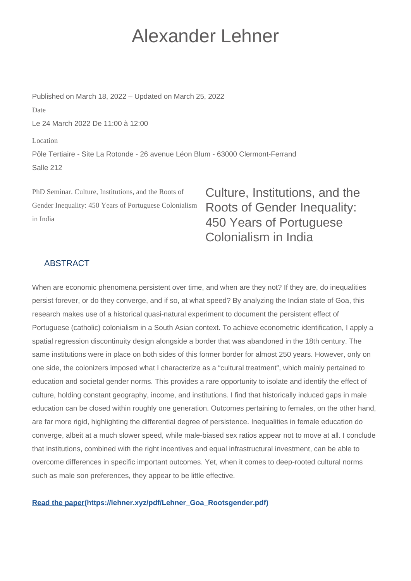## Alexander Lehner

Published on March 18, 2022 – Updated on March 25, 2022 Date Le 24 March 2022 De 11:00 à 12:00 Location Pôle Tertiaire - Site La Rotonde - 26 avenue Léon Blum - 63000 Clermont-Ferrand

PhD Seminar. Culture, Institutions, and the Roots of Gender Inequality: 450 Years of Portuguese Colonialism in India

Culture, Institutions, and the Roots of Gender Inequality: 450 Years of Portuguese Colonialism in India

## ABSTRACT

Salle 212

When are economic phenomena persistent over time, and when are they not? If they are, do inequalities persist forever, or do they converge, and if so, at what speed? By analyzing the Indian state of Goa, this research makes use of a historical quasi-natural experiment to document the persistent effect of Portuguese (catholic) colonialism in a South Asian context. To achieve econometric identification, I apply a spatial regression discontinuity design alongside a border that was abandoned in the 18th century. The same institutions were in place on both sides of this former border for almost 250 years. However, only on one side, the colonizers imposed what I characterize as a "cultural treatment", which mainly pertained to education and societal gender norms. This provides a rare opportunity to isolate and identify the effect of culture, holding constant geography, income, and institutions. I find that historically induced gaps in male education can be closed within roughly one generation. Outcomes pertaining to females, on the other hand, are far more rigid, highlighting the differential degree of persistence. Inequalities in female education do converge, albeit at a much slower speed, while male-biased sex ratios appear not to move at all. I conclude that institutions, combined with the right incentives and equal infrastructural investment, can be able to overcome differences in specific important outcomes. Yet, when it comes to deep-rooted cultural norms such as male son preferences, they appear to be little effective.

## **[Read the paper\(https://lehner.xyz/pdf/Lehner\\_Goa\\_Rootsgender.pdf\)](https://lehner.xyz/pdf/Lehner_Goa_Rootsgender.pdf)**